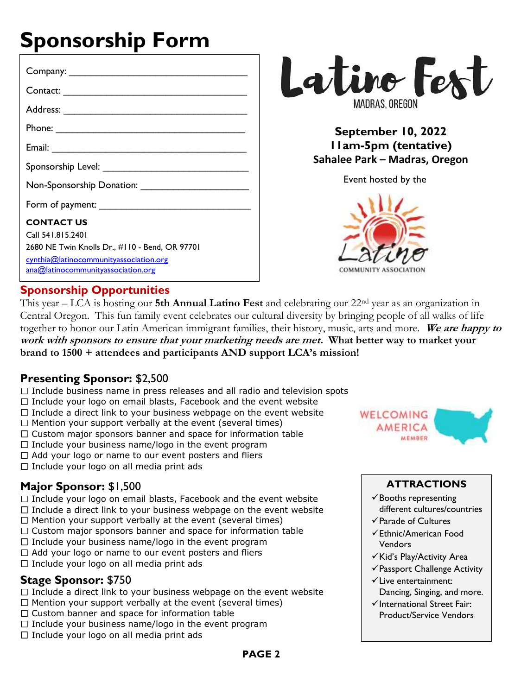# **Sponsorship Form**

| <b>CONTACT US</b><br>Call 541 815 2401<br>2680 NE Twin Knolls Dr., #110 - Bend, OR 97701<br>cynthia@latinocommunityassociation.org<br>ana@latinocommunityassociation.org |
|--------------------------------------------------------------------------------------------------------------------------------------------------------------------------|



# **September 10, 2022 11am-5pm (tentative) Sahalee Park – Madras, Oregon**

Event hosted by the



# **Sponsorship Opportunities**

This year – LCA is hosting our **5th Annual Latino Fest** and celebrating our 22nd year as an organization in Central Oregon.This fun family event celebrates our cultural diversity by bringing people of all walks of life together to honor our Latin American immigrant families, their history, music, arts and more. **We are happy to work with sponsors to ensure that your marketing needs are met. What better way to market your brand to 1500 + attendees and participants AND support LCA's mission!**

# **Presenting Sponsor:** \$2,500

- $\Box$  Include business name in press releases and all radio and television spots
- $\Box$  Include your logo on email blasts, Facebook and the event website
- $\Box$  Include a direct link to your business webpage on the event website
- $\Box$  Mention your support verbally at the event (several times)
- $\Box$  Custom major sponsors banner and space for information table
- $\Box$  Include your business name/logo in the event program
- $\Box$  Add your logo or name to our event posters and fliers
- $\Box$  Include your logo on all media print ads

# **Major Sponsor:** \$1,500

- $\Box$  Include your logo on email blasts, Facebook and the event website
- $\Box$  Include a direct link to your business webpage on the event website
- $\Box$  Mention your support verbally at the event (several times)
- $\Box$  Custom major sponsors banner and space for information table
- $\Box$  Include your business name/logo in the event program
- $\Box$  Add your logo or name to our event posters and fliers
- $\Box$  Include your logo on all media print ads

# **Stage Sponsor:** \$750

- $\Box$  Include a direct link to your business webpage on the event website
- $\Box$  Mention your support verbally at the event (several times)
- $\Box$  Custom banner and space for information table
- $\Box$  Include your business name/logo in the event program
- $\Box$  Include your logo on all media print ads



#### **ATTRACTIONS**

- $\checkmark$  Booths representing different cultures/countries
- ✓Parade of Cultures
- ✓Ethnic/American Food Vendors
- ✓Kid's Play/Activity Area
- ✓Passport Challenge Activity
- ✓Live entertainment: Dancing, Singing, and more.
- ✓International Street Fair: Product/Service Vendors